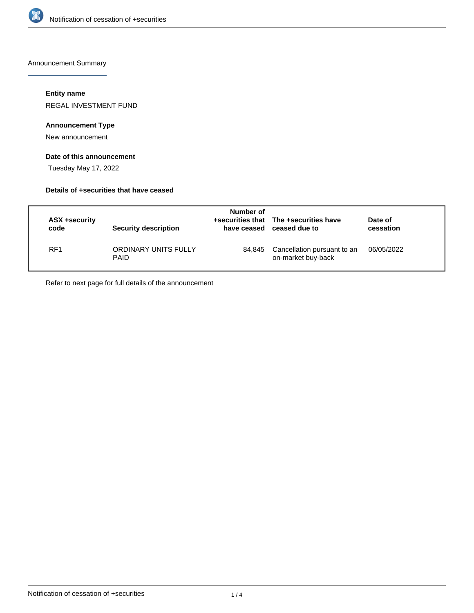

Announcement Summary

## **Entity name**

REGAL INVESTMENT FUND

## **Announcement Type**

New announcement

# **Date of this announcement**

Tuesday May 17, 2022

## **Details of +securities that have ceased**

| ASX +security<br>code | <b>Security description</b>         | Number of | +securities that The +securities have<br>have ceased ceased due to | Date of<br>cessation |
|-----------------------|-------------------------------------|-----------|--------------------------------------------------------------------|----------------------|
| RF <sub>1</sub>       | ORDINARY UNITS FULLY<br><b>PAID</b> | 84.845    | Cancellation pursuant to an<br>on-market buy-back                  | 06/05/2022           |

Refer to next page for full details of the announcement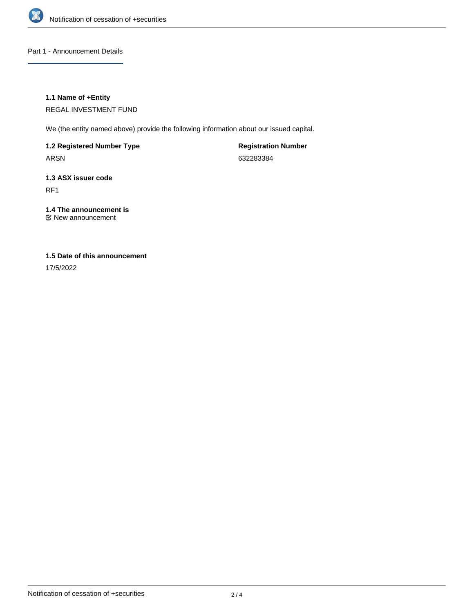

Part 1 - Announcement Details

## **1.1 Name of +Entity**

REGAL INVESTMENT FUND

We (the entity named above) provide the following information about our issued capital.

**1.2 Registered Number Type**

ARSN

**Registration Number** 632283384

# **1.3 ASX issuer code**

RF1

# **1.4 The announcement is**

New announcement

# **1.5 Date of this announcement**

17/5/2022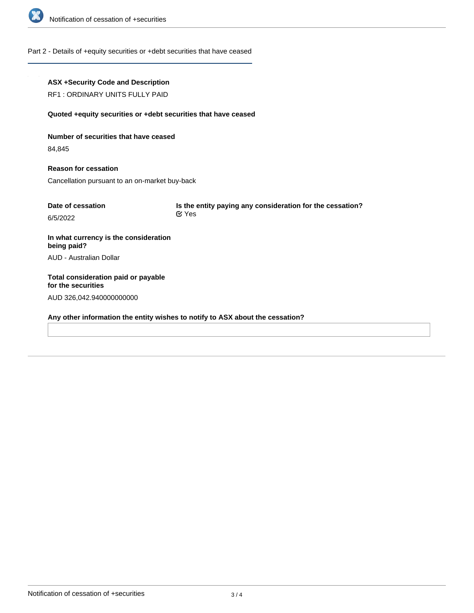

## Part 2 - Details of +equity securities or +debt securities that have ceased

## **ASX +Security Code and Description**

RF1 : ORDINARY UNITS FULLY PAID

#### **Quoted +equity securities or +debt securities that have ceased**

**Number of securities that have ceased**

84,845

**Reason for cessation** Cancellation pursuant to an on-market buy-back

| Date of cessation | Is the entity paying any consideration for the cessation? |  |
|-------------------|-----------------------------------------------------------|--|
| 6/5/2022          | $\alpha$ Yes                                              |  |

**In what currency is the consideration being paid?** AUD - Australian Dollar

**Total consideration paid or payable for the securities** AUD 326,042.940000000000

**Any other information the entity wishes to notify to ASX about the cessation?**